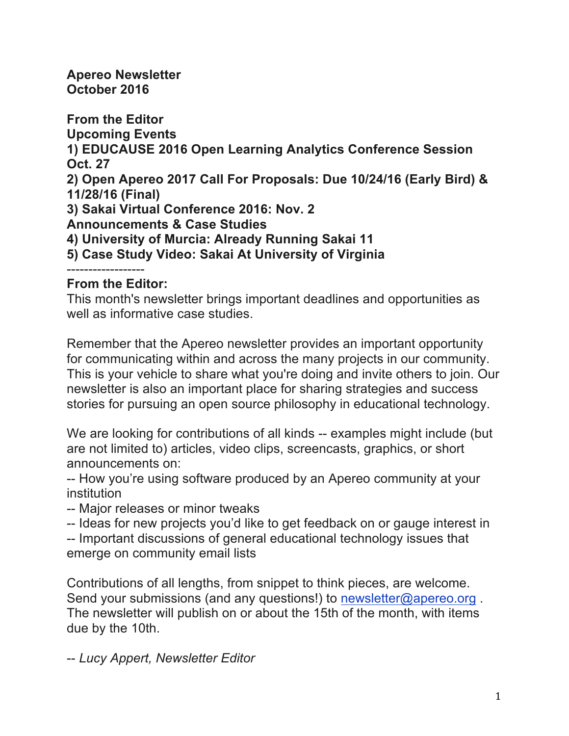**Apereo Newsletter October 2016**

**From the Editor Upcoming Events 1) EDUCAUSE 2016 Open Learning Analytics Conference Session Oct. 27 2) Open Apereo 2017 Call For Proposals: Due 10/24/16 (Early Bird) & 11/28/16 (Final) 3) Sakai Virtual Conference 2016: Nov. 2 Announcements & Case Studies 4) University of Murcia: Already Running Sakai 11 5) Case Study Video: Sakai At University of Virginia** ------------------

## **From the Editor:**

This month's newsletter brings important deadlines and opportunities as well as informative case studies.

Remember that the Apereo newsletter provides an important opportunity for communicating within and across the many projects in our community. This is your vehicle to share what you're doing and invite others to join. Our newsletter is also an important place for sharing strategies and success stories for pursuing an open source philosophy in educational technology.

We are looking for contributions of all kinds -- examples might include (but are not limited to) articles, video clips, screencasts, graphics, or short announcements on:

-- How you're using software produced by an Apereo community at your institution

-- Major releases or minor tweaks

-- Ideas for new projects you'd like to get feedback on or gauge interest in -- Important discussions of general educational technology issues that emerge on community email lists

Contributions of all lengths, from snippet to think pieces, are welcome. Send your submissions (and any questions!) to newsletter@apereo.org . The newsletter will publish on or about the 15th of the month, with items due by the 10th.

-- *Lucy Appert, Newsletter Editor*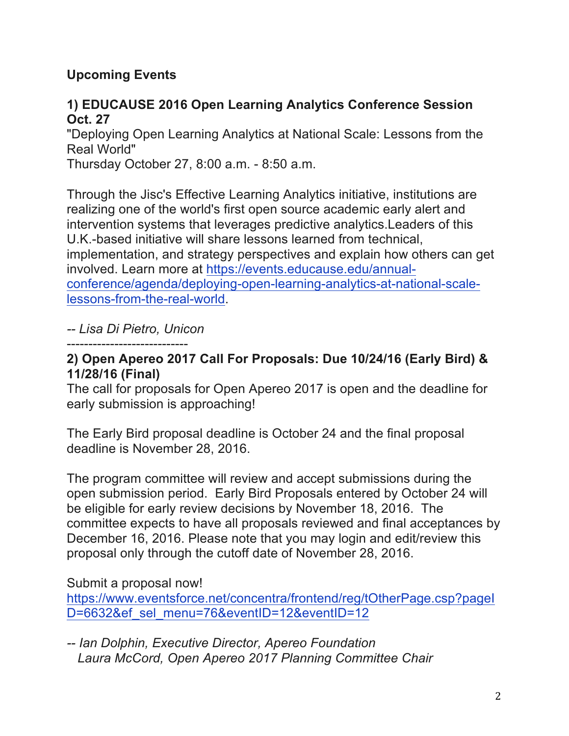# **Upcoming Events**

## **1) EDUCAUSE 2016 Open Learning Analytics Conference Session Oct. 27**

"Deploying Open Learning Analytics at National Scale: Lessons from the Real World"

Thursday October 27, 8:00 a.m. - 8:50 a.m.

Through the Jisc's Effective Learning Analytics initiative, institutions are realizing one of the world's first open source academic early alert and intervention systems that leverages predictive analytics.Leaders of this U.K.-based initiative will share lessons learned from technical, implementation, and strategy perspectives and explain how others can get involved. Learn more at https://events.educause.edu/annualconference/agenda/deploying-open-learning-analytics-at-national-scalelessons-from-the-real-world.

*-- Lisa Di Pietro, Unicon*

----------------------------

## **2) Open Apereo 2017 Call For Proposals: Due 10/24/16 (Early Bird) & 11/28/16 (Final)**

The call for proposals for Open Apereo 2017 is open and the deadline for early submission is approaching!

The Early Bird proposal deadline is October 24 and the final proposal deadline is November 28, 2016.

The program committee will review and accept submissions during the open submission period. Early Bird Proposals entered by October 24 will be eligible for early review decisions by November 18, 2016. The committee expects to have all proposals reviewed and final acceptances by December 16, 2016. Please note that you may login and edit/review this proposal only through the cutoff date of November 28, 2016.

Submit a proposal now!

https://www.eventsforce.net/concentra/frontend/reg/tOtherPage.csp?pageI D=6632&ef sel\_menu=76&eventID=12&eventID=12

*-- Ian Dolphin, Executive Director, Apereo Foundation Laura McCord, Open Apereo 2017 Planning Committee Chair*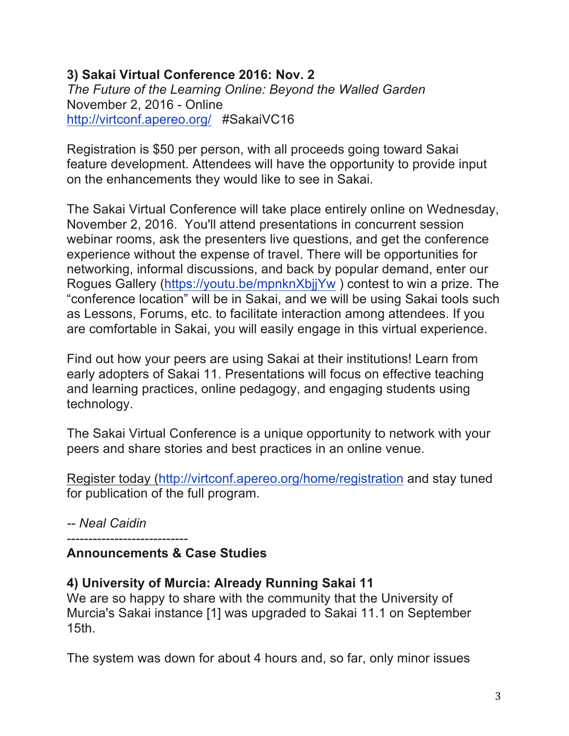#### **3) Sakai Virtual Conference 2016: Nov. 2** *The Future of the Learning Online: Beyond the Walled Garden*

November 2, 2016 - Online http://virtconf.apereo.org/ #SakaiVC16

Registration is \$50 per person, with all proceeds going toward Sakai feature development. Attendees will have the opportunity to provide input on the enhancements they would like to see in Sakai.

The Sakai Virtual Conference will take place entirely online on Wednesday, November 2, 2016. You'll attend presentations in concurrent session webinar rooms, ask the presenters live questions, and get the conference experience without the expense of travel. There will be opportunities for networking, informal discussions, and back by popular demand, enter our Rogues Gallery (https://youtu.be/mpnknXbjjYw ) contest to win a prize. The "conference location" will be in Sakai, and we will be using Sakai tools such as Lessons, Forums, etc. to facilitate interaction among attendees. If you are comfortable in Sakai, you will easily engage in this virtual experience.

Find out how your peers are using Sakai at their institutions! Learn from early adopters of Sakai 11. Presentations will focus on effective teaching and learning practices, online pedagogy, and engaging students using technology.

The Sakai Virtual Conference is a unique opportunity to network with your peers and share stories and best practices in an online venue.

Register today (http://virtconf.apereo.org/home/registration and stay tuned for publication of the full program.

*-- Neal Caidin*

----------------------------

# **Announcements & Case Studies**

# **4) University of Murcia: Already Running Sakai 11**

We are so happy to share with the community that the University of Murcia's Sakai instance [1] was upgraded to Sakai 11.1 on September 15th.

The system was down for about 4 hours and, so far, only minor issues